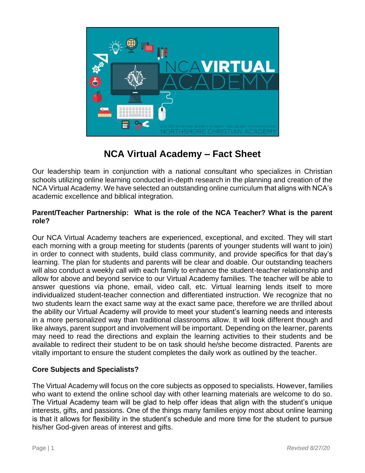

# **NCA Virtual Academy – Fact Sheet**

Our leadership team in conjunction with a national consultant who specializes in Christian schools utilizing online learning conducted in-depth research in the planning and creation of the NCA Virtual Academy. We have selected an outstanding online curriculum that aligns with NCA's academic excellence and biblical integration.

### **Parent/Teacher Partnership: What is the role of the NCA Teacher? What is the parent role?**

Our NCA Virtual Academy teachers are experienced, exceptional, and excited. They will start each morning with a group meeting for students (parents of younger students will want to join) in order to connect with students, build class community, and provide specifics for that day's learning. The plan for students and parents will be clear and doable. Our outstanding teachers will also conduct a weekly call with each family to enhance the student-teacher relationship and allow for above and beyond service to our Virtual Academy families. The teacher will be able to answer questions via phone, email, video call, etc. Virtual learning lends itself to more individualized student-teacher connection and differentiated instruction. We recognize that no two students learn the exact same way at the exact same pace, therefore we are thrilled about the ability our Virtual Academy will provide to meet your student's learning needs and interests in a more personalized way than traditional classrooms allow. It will look different though and like always, parent support and involvement will be important. Depending on the learner, parents may need to read the directions and explain the learning activities to their students and be available to redirect their student to be on task should he/she become distracted. Parents are vitally important to ensure the student completes the daily work as outlined by the teacher.

# **Core Subjects and Specialists?**

The Virtual Academy will focus on the core subjects as opposed to specialists. However, families who want to extend the online school day with other learning materials are welcome to do so. The Virtual Academy team will be glad to help offer ideas that align with the student's unique interests, gifts, and passions. One of the things many families enjoy most about online learning is that it allows for flexibility in the student's schedule and more time for the student to pursue his/her God-given areas of interest and gifts.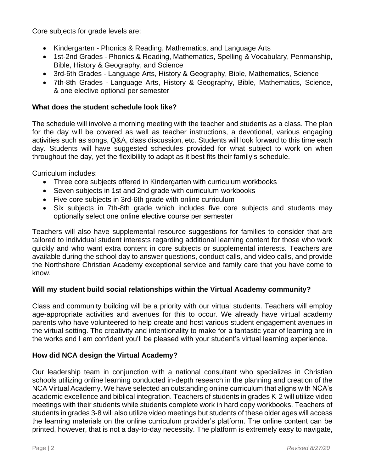Core subjects for grade levels are:

- Kindergarten Phonics & Reading, Mathematics, and Language Arts
- 1st-2nd Grades Phonics & Reading, Mathematics, Spelling & Vocabulary, Penmanship, Bible, History & Geography, and Science
- 3rd-6th Grades Language Arts, History & Geography, Bible, Mathematics, Science
- 7th-8th Grades Language Arts, History & Geography, Bible, Mathematics, Science, & one elective optional per semester

# **What does the student schedule look like?**

The schedule will involve a morning meeting with the teacher and students as a class. The plan for the day will be covered as well as teacher instructions, a devotional, various engaging activities such as songs, Q&A, class discussion, etc. Students will look forward to this time each day. Students will have suggested schedules provided for what subject to work on when throughout the day, yet the flexibility to adapt as it best fits their family's schedule.

Curriculum includes:

- Three core subjects offered in Kindergarten with curriculum workbooks
- Seven subjects in 1st and 2nd grade with curriculum workbooks
- Five core subjects in 3rd-6th grade with online curriculum
- Six subjects in 7th-8th grade which includes five core subjects and students may optionally select one online elective course per semester

Teachers will also have supplemental resource suggestions for families to consider that are tailored to individual student interests regarding additional learning content for those who work quickly and who want extra content in core subjects or supplemental interests. Teachers are available during the school day to answer questions, conduct calls, and video calls, and provide the Northshore Christian Academy exceptional service and family care that you have come to know.

# **Will my student build social relationships within the Virtual Academy community?**

Class and community building will be a priority with our virtual students. Teachers will employ age-appropriate activities and avenues for this to occur. We already have virtual academy parents who have volunteered to help create and host various student engagement avenues in the virtual setting. The creativity and intentionality to make for a fantastic year of learning are in the works and I am confident you'll be pleased with your student's virtual learning experience.

# **How did NCA design the Virtual Academy?**

Our leadership team in conjunction with a national consultant who specializes in Christian schools utilizing online learning conducted in-depth research in the planning and creation of the NCA Virtual Academy. We have selected an outstanding online curriculum that aligns with NCA's academic excellence and biblical integration. Teachers of students in grades K-2 will utilize video meetings with their students while students complete work in hard copy workbooks. Teachers of students in grades 3-8 will also utilize video meetings but students of these older ages will access the learning materials on the online curriculum provider's platform. The online content can be printed, however, that is not a day-to-day necessity. The platform is extremely easy to navigate,